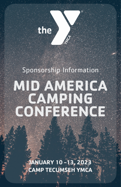

# Sponsorship Information

 $\circledR$ 

# **MID AMERICA CAMPING CONFERENCE**

**JANUARY 10 -13, 2023 CAMP TECUMSEH YMCA**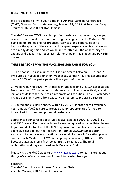#### **WELCOME TO OUR FAMILY!**

We are excited to invite you to the Mid-America Camping Conference (MACC) Sponsor Fair on Wednesday, January 11, 2023, at beautiful Camp Tecumseh YMCA in Brookston, Indiana!

The MACC serves YMCA camping professionals who represent day camps, resident camps, and other outdoor programming across the Midwest. All participants are looking for products, services, and opportunities to improve the quality of their staff and campers' experiences. We believe you are already doing this and we would like to offer you the opportunity to expand and deepen your business relationships in this unique and powerful market.

#### **THREE REASONS WHY THE MACC SPONSOR FAIR IS FOR YOU:**

1. The Sponsor Fair is a luncheon: The fair occurs between 12:15 and 2:15 PM during a walkabout lunch on Wednesday January 11. This assures that nearly 100% of our participants will see your information.

2. We have buying power: With representatives from 60 YMCA associations from more than 20 states, our conference participants collectively spend millions of dollars for their camp programs and facilities. The 250 attendees include decision-makers from executive directors to program directors.

3. Limited and exclusive space: With only 20-25 sponsor spots available, your time at MACC is sure to provide quality opportunities for you to interact with current and potential customers.

Conference sponsorship opportunities available at \$2000, \$1000, \$750, and \$375 levels. Each level includes its own unique advantages listed below. If you would like to attend the MACC Sponsor Fair and become a conference sponsor, please fill out the registration form at www.ymcamacc.org/ sponsors, if you have any questions or would like more information please contact Zach McMurray at YMCA Camp Copneconic at (810)772-0605. Spots are available on a first-come, first-served basis. The final registration and payment deadline is December 2nd.

Please visit the MACC website at www.ymcamacc.org to learn more about this year's conference. We look forward to hearing from you!

Sincerely, The MACC Auction and Sponsor Committee Chair Zach McMurray, YMCA Camp Copneconic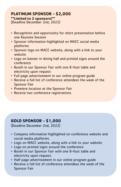#### **PLATINUM SPONSOR - \$2,000 \*\*Limited to 2 sponsors!\*\***

(Deadline December 2nd, 2022)

- Recognition and opportunity for short presentation before one Keynote Session
- Sponsor information highlighted on MACC social media platforms
- Sponsor logo on MACC website, along with a link to your website
- Logo on banner in dining hall and printed signs around the conference
- Booth in our Sponsor Fair with one 8-foot table and electricity upon request
- Full page advertisement in our online program guide
- Receive a full list of conference attendees the week of the Sponsor Fair
- Premiere location at the Sponsor Fair
- Receive two conference registrations

### **GOLD SPONSOR - \$1,000**

(Deadline December 2nd, 2022)

- Company information highlighted on conference website and social media platforms
- Logo on MACC website, along with a link to your website
- Logo on printed signs around the conference
- Booth in our Sponsor Fair with one 8-foot table and electricity upon request.
- Half page advertisement in our online program guide
- Receive a full list of conference attendees the week of the Sponsor Fair